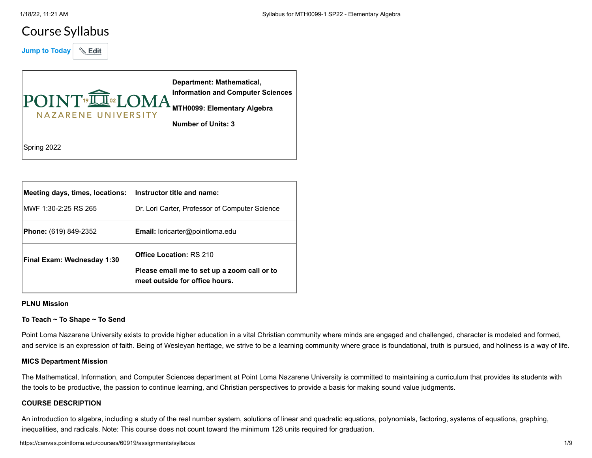# Course Syllabus

**Jump to Today & Edit** 

| POINT <sup>®</sup> II <sup>®</sup> LOMA<br>NAZARENE UNIVERSITY | Department: Mathematical,<br><b>Information and Computer Sciences</b><br>MTH0099: Elementary Algebra<br><b>Number of Units: 3</b> |
|----------------------------------------------------------------|-----------------------------------------------------------------------------------------------------------------------------------|
| Spring 2022                                                    |                                                                                                                                   |

| Meeting days, times, locations:<br>IMWF 1:30-2:25 RS 265 | Instructor title and name:<br>Dr. Lori Carter, Professor of Computer Science                                    |
|----------------------------------------------------------|-----------------------------------------------------------------------------------------------------------------|
| <b>Phone:</b> (619) 849-2352                             | <b>Email:</b> loricarter@pointloma.edu                                                                          |
| Final Exam: Wednesday 1:30                               | <b>Office Location: RS 210</b><br>Please email me to set up a zoom call or to<br>meet outside for office hours. |

### **PLNU Mission**

#### **To Teach ~ To Shape ~ To Send**

Point Loma Nazarene University exists to provide higher education in a vital Christian community where minds are engaged and challenged, character is modeled and formed, and service is an expression of faith. Being of Wesleyan heritage, we strive to be a learning community where grace is foundational, truth is pursued, and holiness is a way of life.

#### **MICS Department Mission**

The Mathematical, Information, and Computer Sciences department at Point Loma Nazarene University is committed to maintaining a curriculum that provides its students with the tools to be productive, the passion to continue learning, and Christian perspectives to provide a basis for making sound value judgments.

# **COURSE DESCRIPTION**

An introduction to algebra, including a study of the real number system, solutions of linear and quadratic equations, polynomials, factoring, systems of equations, graphing, inequalities, and radicals. Note: This course does not count toward the minimum 128 units required for graduation.

https://canvas.pointloma.edu/courses/60919/assignments/syllabus 1/9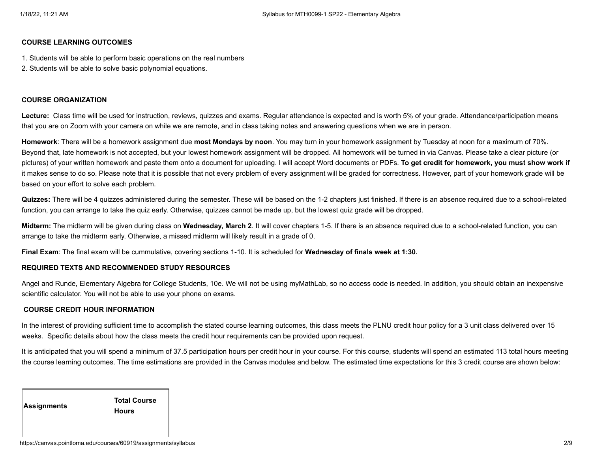#### **COURSE LEARNING OUTCOMES**

- 1. Students will be able to perform basic operations on the real numbers
- 2. Students will be able to solve basic polynomial equations.

#### **COURSE ORGANIZATION**

**Lecture:** Class time will be used for instruction, reviews, quizzes and exams. Regular attendance is expected and is worth 5% of your grade. Attendance/participation means that you are on Zoom with your camera on while we are remote, and in class taking notes and answering questions when we are in person.

**Homework**: There will be a homework assignment due **most Mondays by noon**. You may turn in your homework assignment by Tuesday at noon for a maximum of 70%. Beyond that, late homework is not accepted, but your lowest homework assignment will be dropped. All homework will be turned in via Canvas. Please take a clear picture (or pictures) of your written homework and paste them onto a document for uploading. I will accept Word documents or PDFs. **To get credit for homework, you must show work if** it makes sense to do so. Please note that it is possible that not every problem of every assignment will be graded for correctness. However, part of your homework grade will be based on your effort to solve each problem.

**Quizzes:** There will be 4 quizzes administered during the semester. These will be based on the 1-2 chapters just finished. If there is an absence required due to a school-related function, you can arrange to take the quiz early. Otherwise, quizzes cannot be made up, but the lowest quiz grade will be dropped.

**Midterm:** The midterm will be given during class on **Wednesday, March 2**. It will cover chapters 1-5. If there is an absence required due to a school-related function, you can arrange to take the midterm early. Otherwise, a missed midterm will likely result in a grade of 0.

**Final Exam**: The final exam will be cummulative, covering sections 1-10. It is scheduled for **Wednesday of finals week at 1:30.**

#### **REQUIRED TEXTS AND RECOMMENDED STUDY RESOURCES**

Angel and Runde, Elementary Algebra for College Students, 10e. We will not be using myMathLab, so no access code is needed. In addition, you should obtain an inexpensive scientific calculator. You will not be able to use your phone on exams.

#### **COURSE CREDIT HOUR INFORMATION**

In the interest of providing sufficient time to accomplish the stated course learning outcomes, this class meets the PLNU credit hour policy for a 3 unit class delivered over 15 weeks. Specific details about how the class meets the credit hour requirements can be provided upon request.

It is anticipated that you will spend a minimum of 37.5 participation hours per credit hour in your course. For this course, students will spend an estimated 113 total hours meeting the course learning outcomes. The time estimations are provided in the Canvas modules and below. The estimated time expectations for this 3 credit course are shown below:

| Assignments | <b>Total Course</b><br><b>Hours</b> |
|-------------|-------------------------------------|
|             |                                     |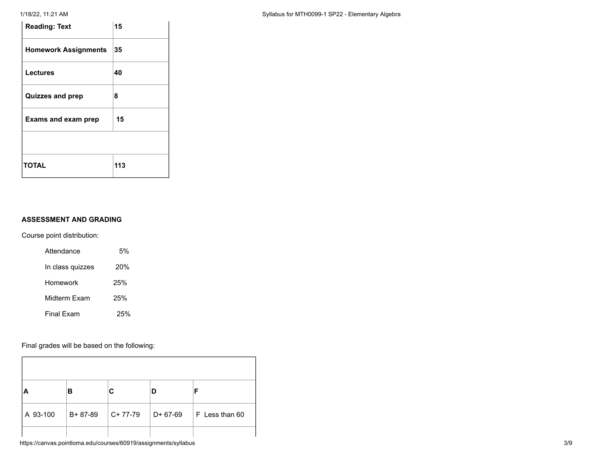# 1/18/22, 11:21 AM **Syllabus for MTH0099-1 SP22 - Elementary Algebra**

| <b>Reading: Text</b>        | 15  |
|-----------------------------|-----|
| <b>Homework Assignments</b> | 35  |
| <b>Lectures</b>             | 40  |
| <b>Quizzes and prep</b>     | 8   |
| <b>Exams and exam prep</b>  | 15  |
|                             |     |
| <b>TOTAL</b>                | 113 |

# **ASSESSMENT AND GRADING**

Course point distribution:

| Attendance       | .5% |
|------------------|-----|
| In class quizzes | 20% |
| Homework         | 25% |
| Midterm Fxam     | 25% |
| Final Fxam       | 25% |

Final grades will be based on the following:

| A        | в       |           |          | Е              |
|----------|---------|-----------|----------|----------------|
| A 93-100 | B+87-89 | $C+77-79$ | D+ 67-69 | F Less than 60 |
|          |         |           |          |                |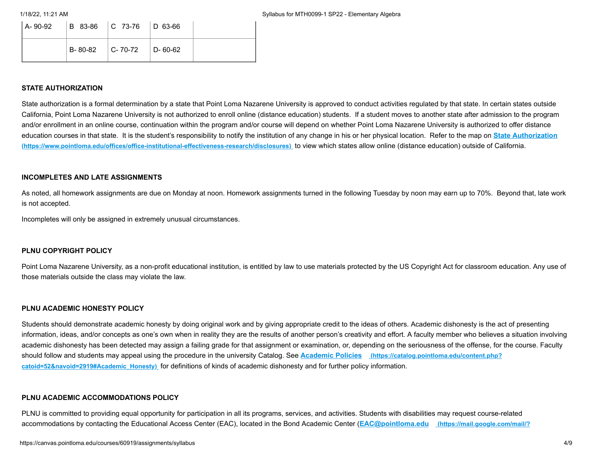| $ A-90-92 $ B 83-86 C 73-76 D 63-66 |                         |  |
|-------------------------------------|-------------------------|--|
|                                     | B-80-82 C-70-72 D-60-62 |  |

#### **STATE AUTHORIZATION**

State authorization is a formal determination by a state that Point Loma Nazarene University is approved to conduct activities regulated by that state. In certain states outside California, Point Loma Nazarene University is not authorized to enroll online (distance education) students. If a student moves to another state after admission to the program and/or enrollment in an online course, continuation within the program and/or course will depend on whether Point Loma Nazarene University is authorized to offer distance [education courses in that state. It is the student's responsibility to notify the institution of any change in his or her physical location.](https://www.pointloma.edu/offices/office-institutional-effectiveness-research/disclosures) Refer to the map on **State Authorization (https://www.pointloma.edu/offices/office-institutional-effectiveness-research/disclosures)** to view which states allow online (distance education) outside of California.

#### **INCOMPLETES AND LATE ASSIGNMENTS**

As noted, all homework assignments are due on Monday at noon. Homework assignments turned in the following Tuesday by noon may earn up to 70%. Beyond that, late work is not accepted.

Incompletes will only be assigned in extremely unusual circumstances.

#### **PLNU COPYRIGHT POLICY**

Point Loma Nazarene University, as a non-profit educational institution, is entitled by law to use materials protected by the US Copyright Act for classroom education. Any use of those materials outside the class may violate the law.

#### **PLNU ACADEMIC HONESTY POLICY**

Students should demonstrate academic honesty by doing original work and by giving appropriate credit to the ideas of others. Academic dishonesty is the act of presenting information, ideas, and/or concepts as one's own when in reality they are the results of another person's creativity and effort. A faculty member who believes a situation involving academic dishonesty has been detected may assign a failing grade for that assignment or examination, or, depending on the seriousness of the offense, for the course. Faculty [should follow and students may appeal using the procedure in the university Catalog. See](https://catalog.pointloma.edu/content.php?catoid=52&navoid=2919#Academic_Honesty) **Academic Policies (https://catalog.pointloma.edu/content.php? catoid=52&navoid=2919#Academic\_Honesty)** for definitions of kinds of academic dishonesty and for further policy information.

#### **PLNU ACADEMIC ACCOMMODATIONS POLICY**

PLNU is committed to providing equal opportunity for participation in all its programs, services, and activities. Students with disabilities may request course-related [accommodations by contacting the Educational Access Center \(EAC\), located in the Bond Academic Center \(](https://mail.google.com/mail/?view=cm&fs=1&tf=1&to=EAC@pointloma.edu)**EAC@pointloma.edu (https://mail.google.com/mail/?**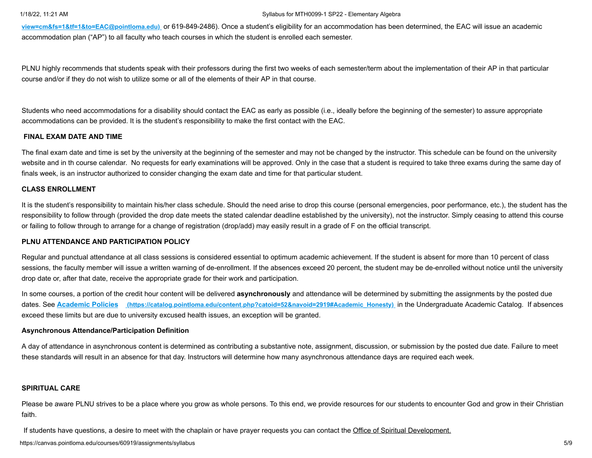#### 1/18/22, 11:21 AM Syllabus for MTH0099-1 SP22 - Elementary Algebra

**view=cm&fs=1&tf=1&to=EAC@pointloma.edu)** [or 619-849-2486\). Once a student's eligibility for an accommodation has been determined, the EAC will issue an acade](https://mail.google.com/mail/?view=cm&fs=1&tf=1&to=EAC@pointloma.edu)mic accommodation plan ("AP") to all faculty who teach courses in which the student is enrolled each semester.

PLNU highly recommends that students speak with their professors during the first two weeks of each semester/term about the implementation of their AP in that particular course and/or if they do not wish to utilize some or all of the elements of their AP in that course.

Students who need accommodations for a disability should contact the EAC as early as possible (i.e., ideally before the beginning of the semester) to assure appropriate accommodations can be provided. It is the student's responsibility to make the first contact with the EAC.

## **FINAL EXAM DATE AND TIME**

The final exam date and time is set by the university at the beginning of the semester and may not be changed by the instructor. This schedule can be found on the university website and in th course calendar. No requests for early examinations will be approved. Only in the case that a student is required to take three exams during the same day of finals week, is an instructor authorized to consider changing the exam date and time for that particular student.

### **CLASS ENROLLMENT**

It is the student's responsibility to maintain his/her class schedule. Should the need arise to drop this course (personal emergencies, poor performance, etc.), the student has the responsibility to follow through (provided the drop date meets the stated calendar deadline established by the university), not the instructor. Simply ceasing to attend this course or failing to follow through to arrange for a change of registration (drop/add) may easily result in a grade of F on the official transcript.

#### **PLNU ATTENDANCE AND PARTICIPATION POLICY**

Regular and punctual attendance at all class sessions is considered essential to optimum academic achievement. If the student is absent for more than 10 percent of class sessions, the faculty member will issue a written warning of de-enrollment. If the absences exceed 20 percent, the student may be de-enrolled without notice until the university drop date or, after that date, receive the appropriate grade for their work and participation.

In some courses, a portion of the credit hour content will be delivered **asynchronously** and attendance will be determined by submitting the assignments by the posted due dates. See **Academic Policies [\(https://catalog.pointloma.edu/content.php?catoid=52&navoid=2919#Academic\\_Honesty\)](https://catalog.pointloma.edu/content.php?catoid=52&navoid=2919#Academic_Honesty)** in the Undergraduate Academic Catalog. If absences exceed these limits but are due to university excused health issues, an exception will be granted.

#### **Asynchronous Attendance/Participation Definition**

A day of attendance in asynchronous content is determined as contributing a substantive note, assignment, discussion, or submission by the posted due date. Failure to meet these standards will result in an absence for that day. Instructors will determine how many asynchronous attendance days are required each week.

#### **SPIRITUAL CARE**

Please be aware PLNU strives to be a place where you grow as whole persons. To this end, we provide resources for our students to encounter God and grow in their Christian faith.

If students have questions, a desire to meet with the chaplain or have prayer requests you can contact the Office of Spiritual Development.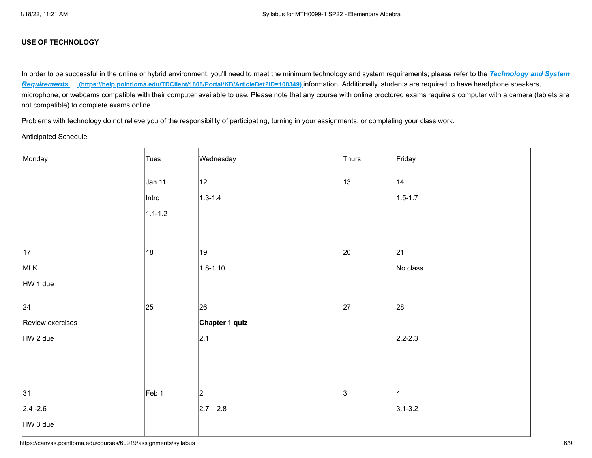# **USE OF TECHNOLOGY**

[In order to be successful in the online or hybrid environment, you'll need to meet the minimum technology and system requirements; please refer to the](https://help.pointloma.edu/TDClient/1808/Portal/KB/ArticleDet?ID=108349) *Technology and System Requirements* **(https://help.pointloma.edu/TDClient/1808/Portal/KB/ArticleDet?ID=108349)** information. Additionally, students are required to have headphone speakers, microphone, or webcams compatible with their computer available to use. Please note that any course with online proctored exams require a computer with a camera (tablets are not compatible) to complete exams online.

Problems with technology do not relieve you of the responsibility of participating, turning in your assignments, or completing your class work.

#### Anticipated Schedule

| Monday           | Tues        | Wednesday      | Thurs | Friday          |
|------------------|-------------|----------------|-------|-----------------|
|                  | Jan 11      | 12             | 13    | 14              |
|                  | Intro       | $1.3 - 1.4$    |       | $1.5 - 1.7$     |
|                  | $1.1 - 1.2$ |                |       |                 |
|                  |             |                |       |                 |
| 17               | 18          | 19             | 20    | 21              |
| MLK              |             | $1.8 - 1.10$   |       | No class        |
| HW 1 due         |             |                |       |                 |
| 24               | 25          | 26             | 27    | 28              |
| Review exercises |             | Chapter 1 quiz |       |                 |
| HW 2 due         |             | 2.1            |       | $2.2 - 2.3$     |
|                  |             |                |       |                 |
|                  |             |                |       |                 |
| 31               | Feb 1       | $ 2\rangle$    | 3     | $\vert 4 \vert$ |
| $2.4 - 2.6$      |             | $2.7 - 2.8$    |       | $3.1 - 3.2$     |
| HW 3 due         |             |                |       |                 |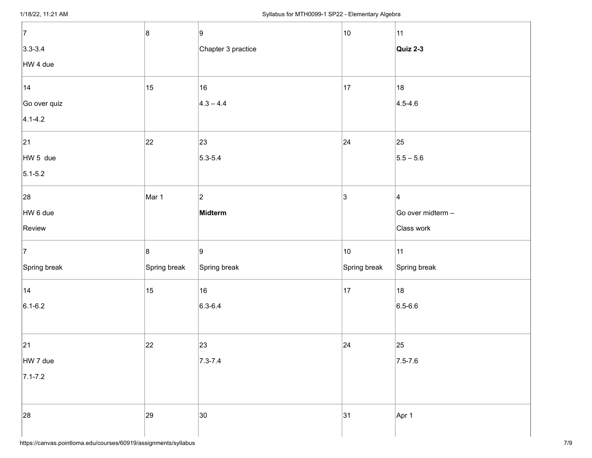| 7            | 8            | 9                  | 10           | 11                |
|--------------|--------------|--------------------|--------------|-------------------|
| $3.3 - 3.4$  |              | Chapter 3 practice |              | Quiz 2-3          |
| HW 4 due     |              |                    |              |                   |
| 14           | 15           | 16                 | 17           | 18                |
| Go over quiz |              | $4.3 - 4.4$        |              | $4.5 - 4.6$       |
| $4.1 - 4.2$  |              |                    |              |                   |
| 21           | $ 22\rangle$ | 23                 | 24           | 25                |
| HW 5 due     |              | $5.3 - 5.4$        |              | $5.5 - 5.6$       |
| $5.1 - 5.2$  |              |                    |              |                   |
| 28           | Mar 1        | $ 2\rangle$        | 3            | $ 4\rangle$       |
| HW 6 due     |              | Midterm            |              | Go over midterm - |
| Review       |              |                    |              | Class work        |
| 7            | 8            | 9                  | 10           | 11                |
| Spring break | Spring break | Spring break       | Spring break | Spring break      |
| 14           | 15           | 16                 | 17           | 18                |
| $6.1 - 6.2$  |              | $ 6.3 - 6.4 $      |              | $6.5 - 6.6$       |
|              |              |                    |              |                   |
| 21           | 22           | 23                 | 24           | 25                |
| HW 7 due     |              | $7.3 - 7.4$        |              | $7.5 - 7.6$       |
| $7.1 - 7.2$  |              |                    |              |                   |
|              |              |                    |              |                   |
| 28           | 29           | 30                 | 31           | Apr 1             |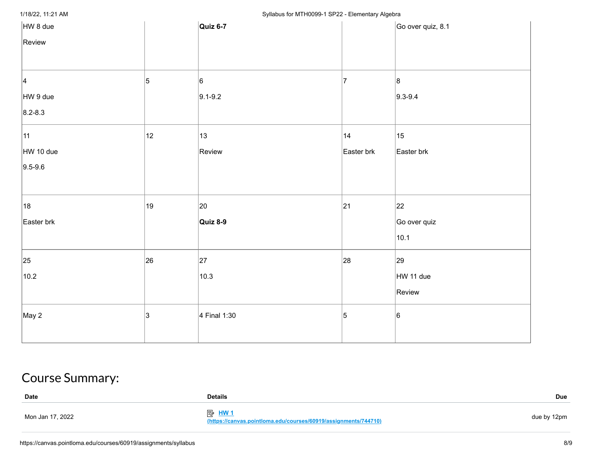# 1/18/22, 11:21 AM **Syllabus for MTH0099-1 SP22 - Elementary Algebra**

| HW 8 due        |    | Quiz 6-7     |            | Go over quiz, 8.1 |
|-----------------|----|--------------|------------|-------------------|
| Review          |    |              |            |                   |
|                 |    |              |            |                   |
| $\vert 4 \vert$ | 5  | 6            | 17         | 8                 |
| HW 9 due        |    | $9.1 - 9.2$  |            | $9.3 - 9.4$       |
| $8.2 - 8.3$     |    |              |            |                   |
| 11              | 12 | 13           | 14         | $ 15\rangle$      |
| HW 10 due       |    | Review       | Easter brk | Easter brk        |
| $9.5 - 9.6$     |    |              |            |                   |
|                 |    |              |            |                   |
| 18              | 19 | 20           | 21         | 22                |
| Easter brk      |    | Quiz 8-9     |            | Go over quiz      |
|                 |    |              |            | 10.1              |
| 25              | 26 | 27           | 28         | 29                |
| 10.2            |    | 10.3         |            | HW 11 due         |
|                 |    |              |            | Review            |
| May 2           | 3  | 4 Final 1:30 | 5          | 6                 |
|                 |    |              |            |                   |

# Course Summary:

| <b>Date</b>      | <b>Details</b>                                                                  | Due         |
|------------------|---------------------------------------------------------------------------------|-------------|
| Mon Jan 17, 2022 | <b>图 HW1</b><br>(https://canvas.pointloma.edu/courses/60919/assignments/744710) | due by 12pm |